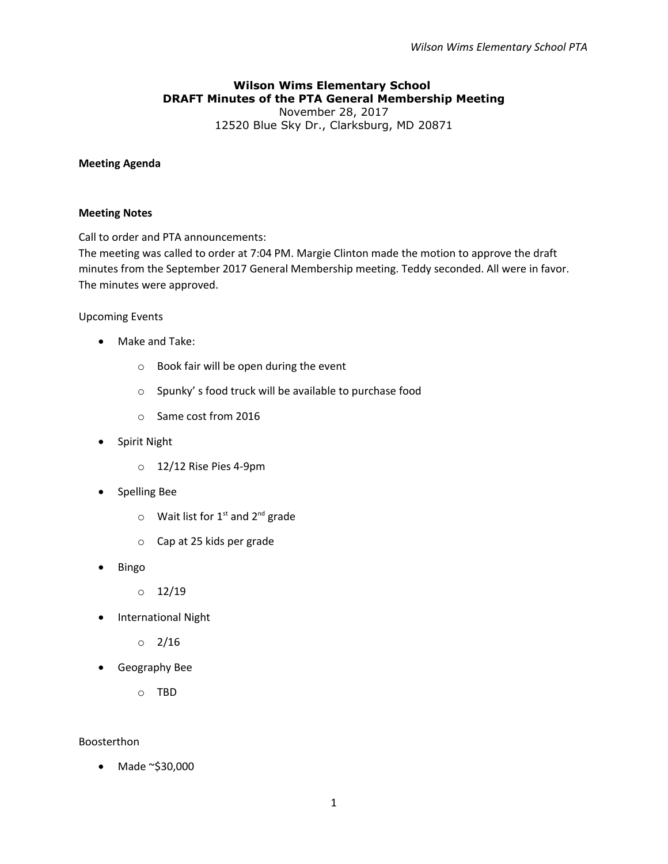## **Wilson Wims Elementary School DRAFT Minutes of the PTA General Membership Meeting** November 28, 2017

12520 Blue Sky Dr., Clarksburg, MD 20871

### **Meeting Agenda**

### **Meeting Notes**

Call to order and PTA announcements:

The meeting was called to order at 7:04 PM. Margie Clinton made the motion to approve the draft minutes from the September 2017 General Membership meeting. Teddy seconded. All were in favor. The minutes were approved.

## Upcoming Events

- Make and Take:
	- o Book fair will be open during the event
	- o Spunky' s food truck will be available to purchase food
	- o Same cost from 2016
- Spirit Night
	- o 12/12 Rise Pies 4-9pm
- **•** Spelling Bee
	- $\circ$  Wait list for 1<sup>st</sup> and 2<sup>nd</sup> grade
	- o Cap at 25 kids per grade
- Bingo
	- $0$  12/19
- International Night
	- $0 \t2/16$
- Geography Bee

o TBD

# Boosterthon

Made ~\$30,000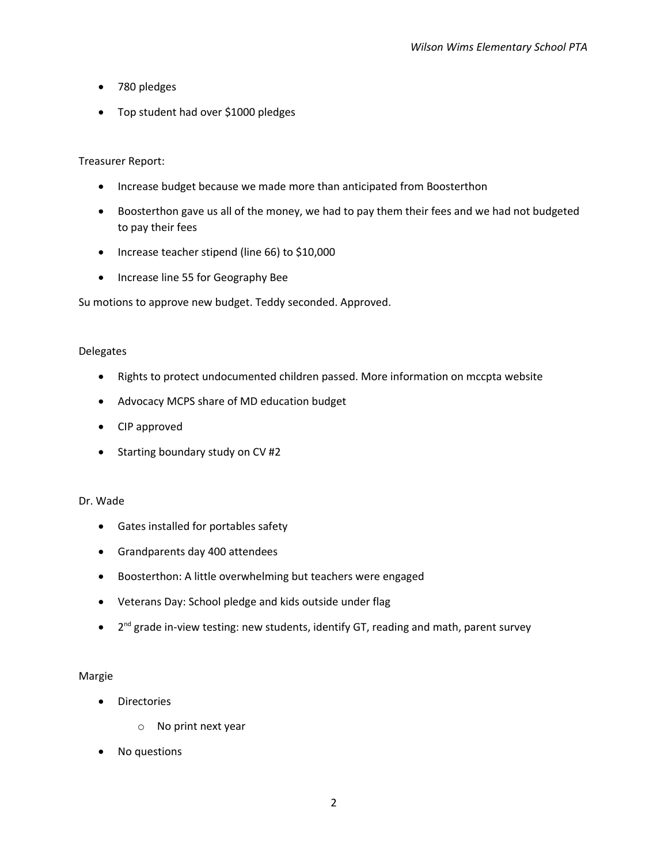- 780 pledges
- Top student had over \$1000 pledges

## Treasurer Report:

- Increase budget because we made more than anticipated from Boosterthon
- Boosterthon gave us all of the money, we had to pay them their fees and we had not budgeted to pay their fees
- Increase teacher stipend (line 66) to \$10,000
- Increase line 55 for Geography Bee

Su motions to approve new budget. Teddy seconded. Approved.

## Delegates

- Rights to protect undocumented children passed. More information on mccpta website
- Advocacy MCPS share of MD education budget
- CIP approved
- Starting boundary study on CV #2

### Dr. Wade

- Gates installed for portables safety
- Grandparents day 400 attendees
- Boosterthon: A little overwhelming but teachers were engaged
- Veterans Day: School pledge and kids outside under flag
- 2<sup>nd</sup> grade in-view testing: new students, identify GT, reading and math, parent survey

### Margie

- **•** Directories
	- o No print next year
- No questions